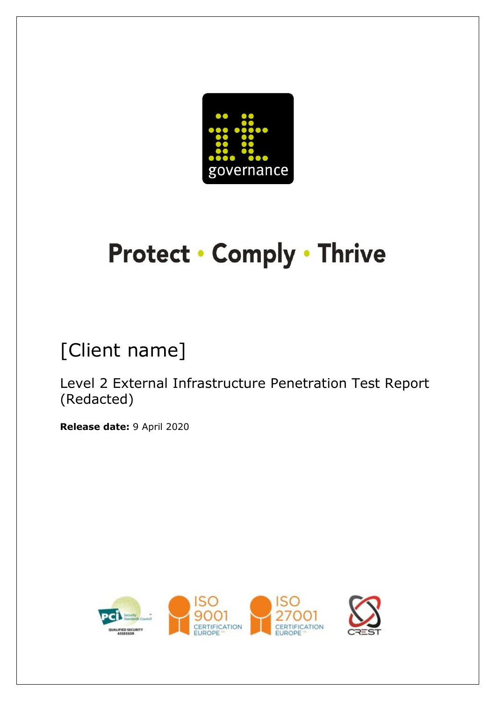

# **Protect · Comply · Thrive**

# [Client name]

Level 2 External Infrastructure Penetration Test Report (Redacted)

**Release date:** 9 April 2020

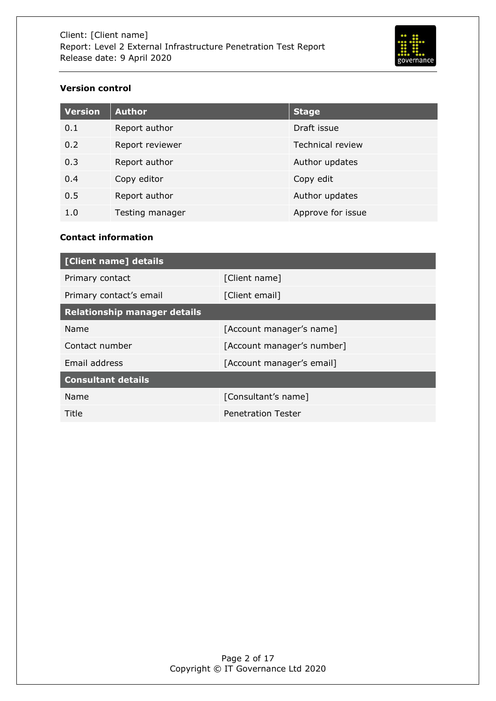

# <span id="page-1-0"></span>**Version control**

| <b>Version</b> | <b>Author</b>   | <b>Stage</b>            |
|----------------|-----------------|-------------------------|
| 0.1            | Report author   | Draft issue             |
| 0.2            | Report reviewer | <b>Technical review</b> |
| 0.3            | Report author   | Author updates          |
| 0.4            | Copy editor     | Copy edit               |
| 0.5            | Report author   | Author updates          |
| 1.0            | Testing manager | Approve for issue       |

## <span id="page-1-1"></span>**Contact information**

| [Client name] details               |                            |  |  |
|-------------------------------------|----------------------------|--|--|
| Primary contact                     | [Client name]              |  |  |
| Primary contact's email             | [Client email]             |  |  |
| <b>Relationship manager details</b> |                            |  |  |
| Name                                | [Account manager's name]   |  |  |
| Contact number                      | [Account manager's number] |  |  |
| Email address                       | [Account manager's email]  |  |  |
| <b>Consultant details</b>           |                            |  |  |
| Name                                | [Consultant's name]        |  |  |
| Title                               | <b>Penetration Tester</b>  |  |  |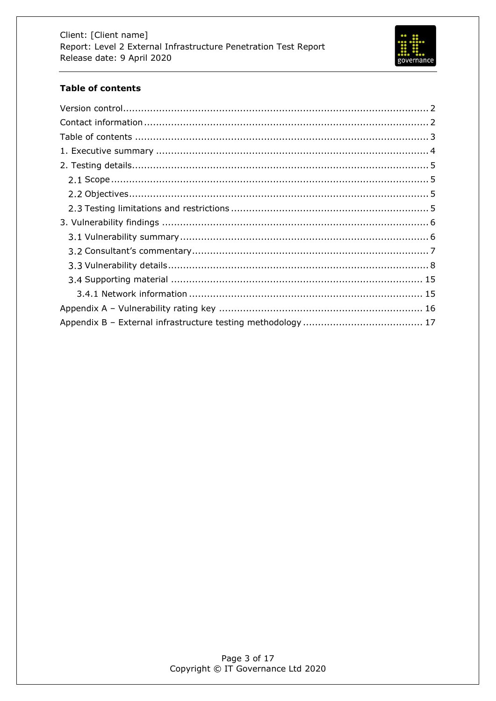

# <span id="page-2-0"></span>**Table of contents**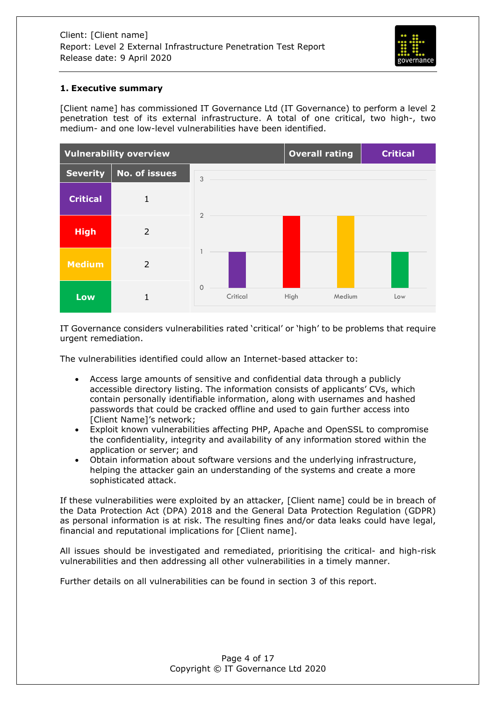

#### <span id="page-3-0"></span>**1. Executive summary**

[Client name] has commissioned IT Governance Ltd (IT Governance) to perform a level 2 penetration test of its external infrastructure. A total of one critical, two high-, two medium- and one low-level vulnerabilities have been identified.



IT Governance considers vulnerabilities rated 'critical' or 'high' to be problems that require urgent remediation.

The vulnerabilities identified could allow an Internet-based attacker to:

- Access large amounts of sensitive and confidential data through a publicly accessible directory listing. The information consists of applicants' CVs, which contain personally identifiable information, along with usernames and hashed passwords that could be cracked offline and used to gain further access into [Client Name]'s network;
- Exploit known vulnerabilities affecting PHP, Apache and OpenSSL to compromise the confidentiality, integrity and availability of any information stored within the application or server; and
- Obtain information about software versions and the underlying infrastructure, helping the attacker gain an understanding of the systems and create a more sophisticated attack.

If these vulnerabilities were exploited by an attacker, [Client name] could be in breach of the Data Protection Act (DPA) 2018 and the General Data Protection Regulation (GDPR) as personal information is at risk. The resulting fines and/or data leaks could have legal, financial and reputational implications for [Client name].

All issues should be investigated and remediated, prioritising the critical- and high-risk vulnerabilities and then addressing all other vulnerabilities in a timely manner.

Further details on all vulnerabilities can be found in section 3 of this report.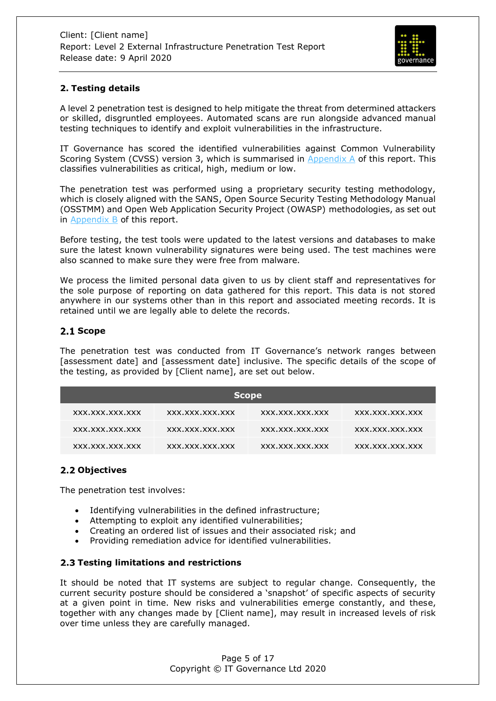

# <span id="page-4-0"></span>**2. Testing details**

A level 2 penetration test is designed to help mitigate the threat from determined attackers or skilled, disgruntled employees. Automated scans are run alongside advanced manual testing techniques to identify and exploit vulnerabilities in the infrastructure.

IT Governance has scored the identified vulnerabilities against Common Vulnerability Scoring System (CVSS) version 3, which is summarised in [Appendix A](#page-15-0) of this report. This classifies vulnerabilities as critical, high, medium or low.

The penetration test was performed using a proprietary security testing methodology, which is closely aligned with the SANS, Open Source Security Testing Methodology Manual (OSSTMM) and Open Web Application Security Project (OWASP) methodologies, as set out in [Appendix B](#page-16-0) of this report.

Before testing, the test tools were updated to the latest versions and databases to make sure the latest known vulnerability signatures were being used. The test machines were also scanned to make sure they were free from malware.

We process the limited personal data given to us by client staff and representatives for the sole purpose of reporting on data gathered for this report. This data is not stored anywhere in our systems other than in this report and associated meeting records. It is retained until we are legally able to delete the records.

## <span id="page-4-1"></span>2.1 Scope

The penetration test was conducted from IT Governance's network ranges between [assessment date] and [assessment date] inclusive. The specific details of the scope of the testing, as provided by [Client name], are set out below.

| <b>Scope</b>    |                 |                 |                 |  |
|-----------------|-----------------|-----------------|-----------------|--|
| XXX.XXX.XXX.XXX | XXX.XXX.XXX.XXX | XXX.XXX.XXX.XXX | XXX.XXX.XXX.XXX |  |
| XXX.XXX.XXX.XXX | XXX.XXX.XXX.XXX | XXX.XXX.XXX.XXX | XXX.XXX.XXX.XXX |  |
| XXX.XXX.XXX.XXX | XXX.XXX.XXX.XXX | XXX.XXX.XXX.XXX | XXX.XXX.XXX.XXX |  |

# <span id="page-4-2"></span>2.2 Objectives

The penetration test involves:

- Identifying vulnerabilities in the defined infrastructure;
- Attempting to exploit any identified vulnerabilities;
- Creating an ordered list of issues and their associated risk; and
- Providing remediation advice for identified vulnerabilities.

## <span id="page-4-3"></span>**Testing limitations and restrictions**

It should be noted that IT systems are subject to regular change. Consequently, the current security posture should be considered a 'snapshot' of specific aspects of security at a given point in time. New risks and vulnerabilities emerge constantly, and these, together with any changes made by [Client name], may result in increased levels of risk over time unless they are carefully managed.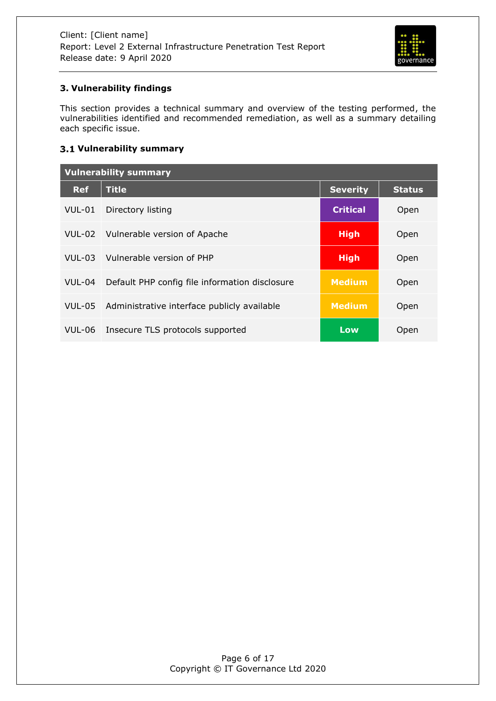

# <span id="page-5-0"></span>**3. Vulnerability findings**

This section provides a technical summary and overview of the testing performed, the vulnerabilities identified and recommended remediation, as well as a summary detailing each specific issue.

# <span id="page-5-1"></span>**Vulnerability summary**

| <b>Vulnerability summary</b> |                                                |                 |               |  |
|------------------------------|------------------------------------------------|-----------------|---------------|--|
| <b>Ref</b>                   | <b>Title</b>                                   | <b>Severity</b> | <b>Status</b> |  |
| VUL-01                       | Directory listing                              | <b>Critical</b> | Open          |  |
| $VUL-02$                     | Vulnerable version of Apache                   | <b>High</b>     | Open          |  |
| $VUL-03$                     | Vulnerable version of PHP                      | <b>High</b>     | Open          |  |
| $VUL-04$                     | Default PHP config file information disclosure | <b>Medium</b>   | Open          |  |
| <b>VUL-05</b>                | Administrative interface publicly available    | <b>Medium</b>   | Open          |  |
| <b>VUL-06</b>                | Insecure TLS protocols supported               | Low             | Open          |  |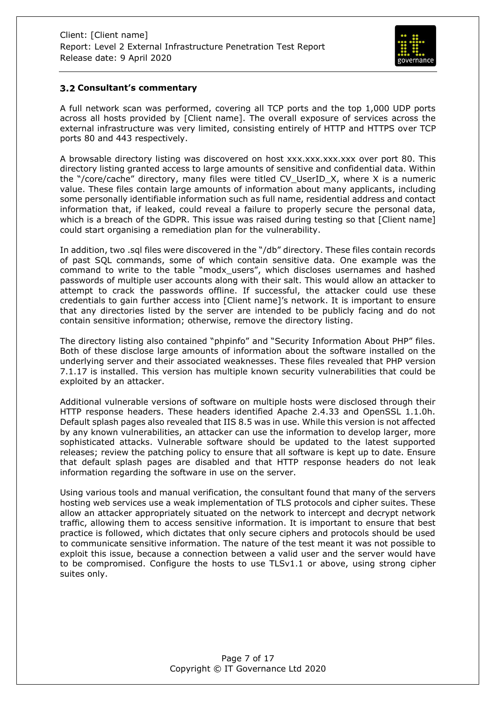

#### <span id="page-6-0"></span>**Consultant's commentary**

A full network scan was performed, covering all TCP ports and the top 1,000 UDP ports across all hosts provided by [Client name]. The overall exposure of services across the external infrastructure was very limited, consisting entirely of HTTP and HTTPS over TCP ports 80 and 443 respectively.

A browsable directory listing was discovered on host xxx.xxx.xxx.xxx over port 80. This directory listing granted access to large amounts of sensitive and confidential data. Within the "/core/cache" directory, many files were titled CV\_UserID\_X, where X is a numeric value. These files contain large amounts of information about many applicants, including some personally identifiable information such as full name, residential address and contact information that, if leaked, could reveal a failure to properly secure the personal data, which is a breach of the GDPR. This issue was raised during testing so that [Client name] could start organising a remediation plan for the vulnerability.

In addition, two .sql files were discovered in the "/db" directory. These files contain records of past SQL commands, some of which contain sensitive data. One example was the command to write to the table "modx\_users", which discloses usernames and hashed passwords of multiple user accounts along with their salt. This would allow an attacker to attempt to crack the passwords offline. If successful, the attacker could use these credentials to gain further access into [Client name]'s network. It is important to ensure that any directories listed by the server are intended to be publicly facing and do not contain sensitive information; otherwise, remove the directory listing.

The directory listing also contained "phpinfo" and "Security Information About PHP" files. Both of these disclose large amounts of information about the software installed on the underlying server and their associated weaknesses. These files revealed that PHP version 7.1.17 is installed. This version has multiple known security vulnerabilities that could be exploited by an attacker.

Additional vulnerable versions of software on multiple hosts were disclosed through their HTTP response headers. These headers identified Apache 2.4.33 and OpenSSL 1.1.0h. Default splash pages also revealed that IIS 8.5 was in use. While this version is not affected by any known vulnerabilities, an attacker can use the information to develop larger, more sophisticated attacks. Vulnerable software should be updated to the latest supported releases; review the patching policy to ensure that all software is kept up to date. Ensure that default splash pages are disabled and that HTTP response headers do not leak information regarding the software in use on the server.

Using various tools and manual verification, the consultant found that many of the servers hosting web services use a weak implementation of TLS protocols and cipher suites. These allow an attacker appropriately situated on the network to intercept and decrypt network traffic, allowing them to access sensitive information. It is important to ensure that best practice is followed, which dictates that only secure ciphers and protocols should be used to communicate sensitive information. The nature of the test meant it was not possible to exploit this issue, because a connection between a valid user and the server would have to be compromised. Configure the hosts to use TLSv1.1 or above, using strong cipher suites only.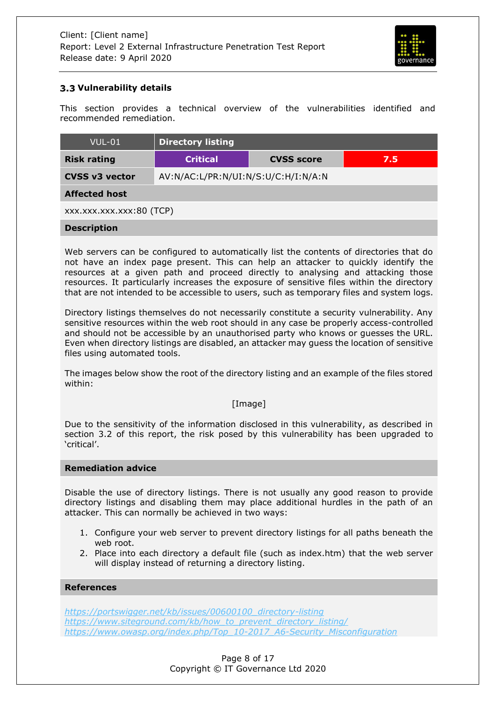

# <span id="page-7-0"></span>**Vulnerability details**

This section provides a technical overview of the vulnerabilities identified and recommended remediation.

| $VUL-01$                 | <b>Directory listing</b>                    |  |  |  |
|--------------------------|---------------------------------------------|--|--|--|
| <b>Risk rating</b>       | <b>Critical</b><br><b>CVSS score</b><br>7.5 |  |  |  |
| <b>CVSS v3 vector</b>    | AV:N/AC:L/PR:N/UI:N/S:U/C:H/I:N/A:N         |  |  |  |
| <b>Affected host</b>     |                                             |  |  |  |
| XXX.XXX.XXX.XXX:80 (TCP) |                                             |  |  |  |
| <b>Description</b>       |                                             |  |  |  |

Web servers can be configured to automatically list the contents of directories that do not have an index page present. This can help an attacker to quickly identify the resources at a given path and proceed directly to analysing and attacking those resources. It particularly increases the exposure of sensitive files within the directory that are not intended to be accessible to users, such as temporary files and system logs.

Directory listings themselves do not necessarily constitute a security vulnerability. Any sensitive resources within the web root should in any case be properly access-controlled and should not be accessible by an unauthorised party who knows or guesses the URL. Even when directory listings are disabled, an attacker may guess the location of sensitive files using automated tools.

The images below show the root of the directory listing and an example of the files stored within:

#### [Image]

Due to the sensitivity of the information disclosed in this vulnerability, as described in section 3.2 of this report, the risk posed by this vulnerability has been upgraded to 'critical'.

#### **Remediation advice**

Disable the use of directory listings. There is not usually any good reason to provide directory listings and disabling them may place additional hurdles in the path of an attacker. This can normally be achieved in two ways:

- 1. Configure your web server to prevent directory listings for all paths beneath the web root.
- 2. Place into each directory a default file (such as index.htm) that the web server will display instead of returning a directory listing.

#### **References**

*[https://portswigger.net/kb/issues/00600100\\_directory-listing](https://portswigger.net/kb/issues/00600100_directory-listing) [https://www.siteground.com/kb/how\\_to\\_prevent\\_directory\\_listing/](https://www.siteground.com/kb/how_to_prevent_directory_listing/) [https://www.owasp.org/index.php/Top\\_10-2017\\_A6-Security\\_Misconfiguration](https://www.owasp.org/index.php/Top_10-2017_A6-Security_Misconfiguration)*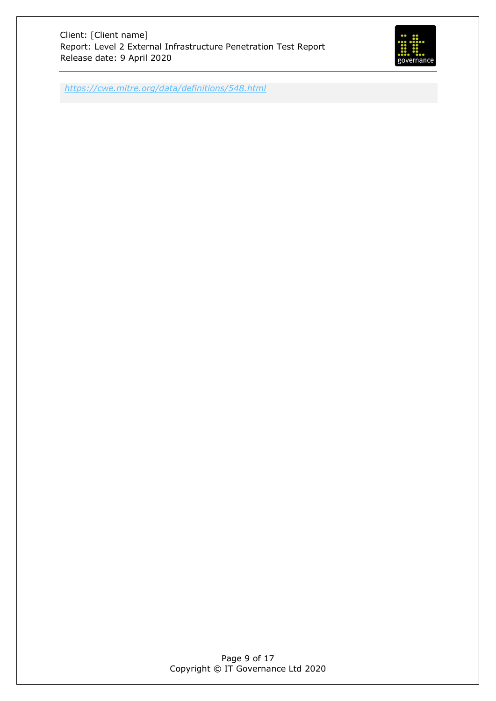

*<https://cwe.mitre.org/data/definitions/548.html>*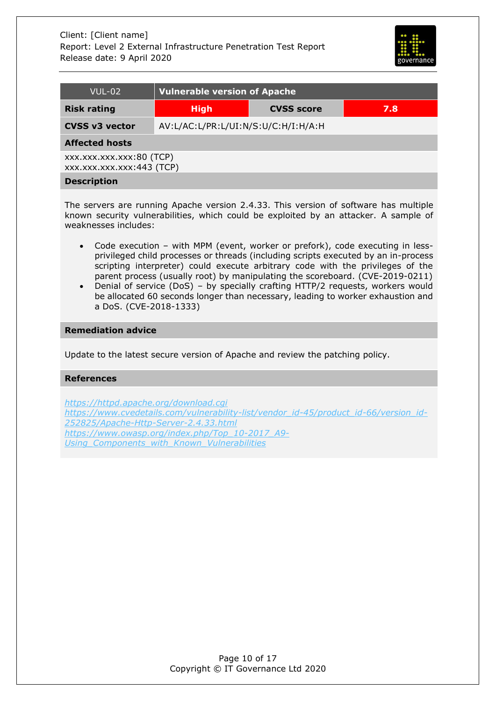

| <b>VUL-02</b>                                         | <b>Vulnerable version of Apache</b> |                   |     |  |
|-------------------------------------------------------|-------------------------------------|-------------------|-----|--|
| <b>Risk rating</b>                                    | <b>High</b>                         | <b>CVSS score</b> | 7.8 |  |
| <b>CVSS v3 vector</b>                                 | AV:L/AC:L/PR:L/UI:N/S:U/C:H/I:H/A:H |                   |     |  |
| <b>Affected hosts</b>                                 |                                     |                   |     |  |
| XXX.XXX.XXX.XXX:80 (TCP)<br>xxx.xxx.xxx.xxx:443 (TCP) |                                     |                   |     |  |
| <b>Description</b>                                    |                                     |                   |     |  |

The servers are running Apache version 2.4.33. This version of software has multiple known security vulnerabilities, which could be exploited by an attacker. A sample of weaknesses includes:

- Code execution with MPM (event, worker or prefork), code executing in lessprivileged child processes or threads (including scripts executed by an in-process scripting interpreter) could execute arbitrary code with the privileges of the parent process (usually root) by manipulating the scoreboard. (CVE-2019-0211)
- Denial of service (DoS) by specially crafting HTTP/2 requests, workers would be allocated 60 seconds longer than necessary, leading to worker exhaustion and a DoS. (CVE-2018-1333)

#### **Remediation advice**

Update to the latest secure version of Apache and review the patching policy.

#### **References**

*<https://httpd.apache.org/download.cgi> [https://www.cvedetails.com/vulnerability-list/vendor\\_id-45/product\\_id-66/version\\_id-](https://www.cvedetails.com/vulnerability-list/vendor_id-45/product_id-66/version_id-252825/Apache-Http-Server-2.4.33.html)[252825/Apache-Http-Server-2.4.33.html](https://www.cvedetails.com/vulnerability-list/vendor_id-45/product_id-66/version_id-252825/Apache-Http-Server-2.4.33.html) [https://www.owasp.org/index.php/Top\\_10-2017\\_A9-](https://www.owasp.org/index.php/Top_10-2017_A9-Using_Components_with_Known_Vulnerabilities) [Using\\_Components\\_with\\_Known\\_Vulnerabilities](https://www.owasp.org/index.php/Top_10-2017_A9-Using_Components_with_Known_Vulnerabilities)*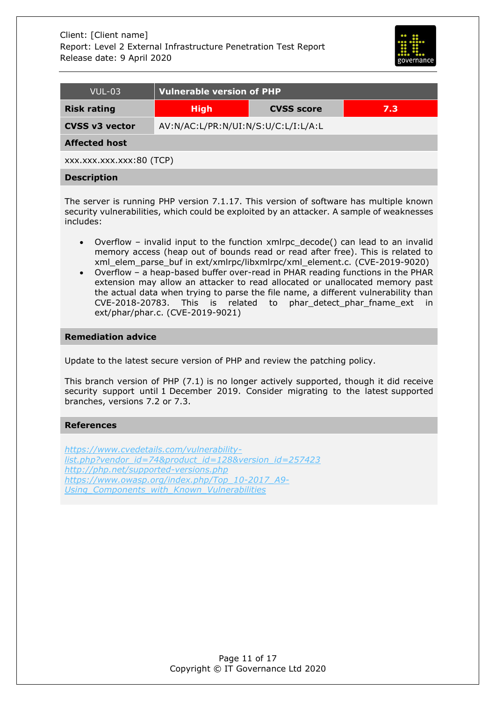

| VUL-03                   | <b>Vulnerable version of PHP</b>        |  |  |  |
|--------------------------|-----------------------------------------|--|--|--|
| <b>Risk rating</b>       | <b>High</b><br><b>CVSS score</b><br>7.3 |  |  |  |
| <b>CVSS v3 vector</b>    | AV:N/AC:L/PR:N/UI:N/S:U/C:L/I:L/A:L     |  |  |  |
| <b>Affected host</b>     |                                         |  |  |  |
| XXX.XXX.XXX.XXX:80 (TCP) |                                         |  |  |  |
| <b>Description</b>       |                                         |  |  |  |

The server is running PHP version 7.1.17. This version of software has multiple known security vulnerabilities, which could be exploited by an attacker. A sample of weaknesses includes:

- Overflow invalid input to the function xmlrpc\_decode() can lead to an invalid memory access (heap out of bounds read or read after free). This is related to xml\_elem\_parse\_buf in ext/xmlrpc/libxmlrpc/xml\_element.c. (CVE-2019-9020)
- Overflow a heap-based buffer over-read in PHAR reading functions in the PHAR extension may allow an attacker to read allocated or unallocated memory past the actual data when trying to parse the file name, a different vulnerability than CVE-2018-20783. This is related to phar\_detect\_phar\_fname\_ext in ext/phar/phar.c. (CVE-2019-9021)

#### **Remediation advice**

Update to the latest secure version of PHP and review the patching policy.

This branch version of PHP (7.1) is no longer actively supported, though it did receive security support until 1 December 2019. Consider migrating to the latest supported branches, versions 7.2 or 7.3.

#### **References**

*[https://www.cvedetails.com/vulnerability](https://www.cvedetails.com/vulnerability-list.php?vendor_id=74&product_id=128&version_id=257423)[list.php?vendor\\_id=74&product\\_id=128&version\\_id=257423](https://www.cvedetails.com/vulnerability-list.php?vendor_id=74&product_id=128&version_id=257423) <http://php.net/supported-versions.php> [https://www.owasp.org/index.php/Top\\_10-2017\\_A9-](https://www.owasp.org/index.php/Top_10-2017_A9-Using_Components_with_Known_Vulnerabilities) [Using\\_Components\\_with\\_Known\\_Vulnerabilities](https://www.owasp.org/index.php/Top_10-2017_A9-Using_Components_with_Known_Vulnerabilities)*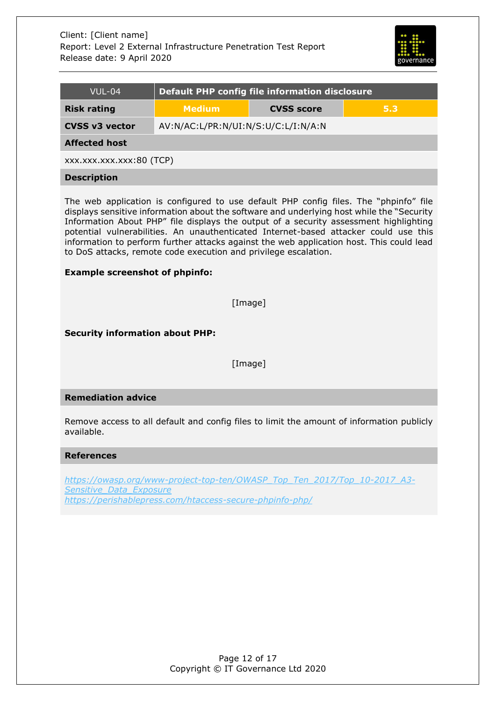

| <b>VUL-04</b>                                                                                                                                                                                                                                                                                                                                                                                                                                                                                                                                                               | <b>Default PHP config file information disclosure</b> |                   |     |  |  |
|-----------------------------------------------------------------------------------------------------------------------------------------------------------------------------------------------------------------------------------------------------------------------------------------------------------------------------------------------------------------------------------------------------------------------------------------------------------------------------------------------------------------------------------------------------------------------------|-------------------------------------------------------|-------------------|-----|--|--|
| <b>Risk rating</b>                                                                                                                                                                                                                                                                                                                                                                                                                                                                                                                                                          | <b>Medium</b>                                         | <b>CVSS score</b> | 5.3 |  |  |
| <b>CVSS v3 vector</b>                                                                                                                                                                                                                                                                                                                                                                                                                                                                                                                                                       | AV:N/AC:L/PR:N/UI:N/S:U/C:L/I:N/A:N                   |                   |     |  |  |
| <b>Affected host</b>                                                                                                                                                                                                                                                                                                                                                                                                                                                                                                                                                        |                                                       |                   |     |  |  |
| XXX.XXX.XXX.XXX:80 (TCP)                                                                                                                                                                                                                                                                                                                                                                                                                                                                                                                                                    |                                                       |                   |     |  |  |
| <b>Description</b>                                                                                                                                                                                                                                                                                                                                                                                                                                                                                                                                                          |                                                       |                   |     |  |  |
| The web application is configured to use default PHP config files. The "phpinfo" file<br>displays sensitive information about the software and underlying host while the "Security<br>Information About PHP" file displays the output of a security assessment highlighting<br>potential vulnerabilities. An unauthenticated Internet-based attacker could use this<br>information to perform further attacks against the web application host. This could lead<br>to DoS attacks, remote code execution and privilege escalation.<br><b>Example screenshot of phpinfo:</b> |                                                       |                   |     |  |  |
| [Image]                                                                                                                                                                                                                                                                                                                                                                                                                                                                                                                                                                     |                                                       |                   |     |  |  |

**Security information about PHP:**

[Image]

# **Remediation advice**

Remove access to all default and config files to limit the amount of information publicly available.

#### **References**

*[https://owasp.org/www-project-top-ten/OWASP\\_Top\\_Ten\\_2017/Top\\_10-2017\\_A3-](https://owasp.org/www-project-top-ten/OWASP_Top_Ten_2017/Top_10-2017_A3-Sensitive_Data_Exposure) [Sensitive\\_Data\\_Exposure](https://owasp.org/www-project-top-ten/OWASP_Top_Ten_2017/Top_10-2017_A3-Sensitive_Data_Exposure) <https://perishablepress.com/htaccess-secure-phpinfo-php/>*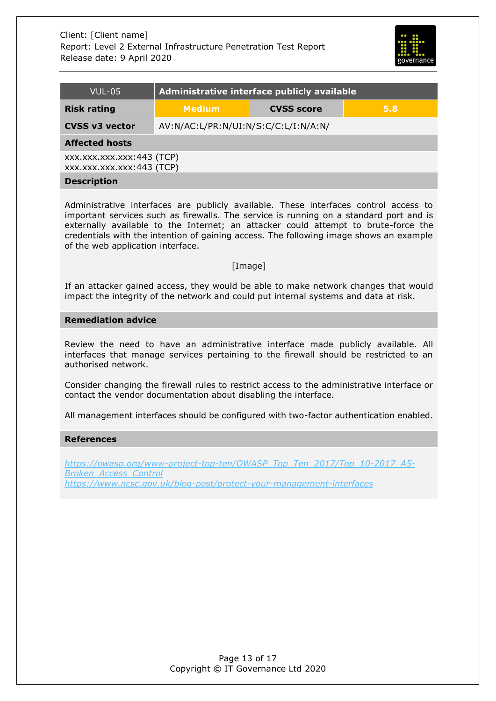

| VUL-05                                                 | Administrative interface publicly available |  |  |  |
|--------------------------------------------------------|---------------------------------------------|--|--|--|
| <b>Risk rating</b>                                     | <b>Medium</b><br><b>CVSS score</b><br>5.8   |  |  |  |
| <b>CVSS v3 vector</b>                                  | AV:N/AC:L/PR:N/UI:N/S:C/C:L/I:N/A:N/        |  |  |  |
| <b>Affected hosts</b>                                  |                                             |  |  |  |
| xxx.xxx.xxx.xxx:443 (TCP)<br>xxx.xxx.xxx.xxx:443 (TCP) |                                             |  |  |  |
| <b>Description</b>                                     |                                             |  |  |  |

Administrative interfaces are publicly available. These interfaces control access to important services such as firewalls. The service is running on a standard port and is externally available to the Internet; an attacker could attempt to brute-force the credentials with the intention of gaining access. The following image shows an example of the web application interface.

#### [Image]

If an attacker gained access, they would be able to make network changes that would impact the integrity of the network and could put internal systems and data at risk.

#### **Remediation advice**

Review the need to have an administrative interface made publicly available. All interfaces that manage services pertaining to the firewall should be restricted to an authorised network.

Consider changing the firewall rules to restrict access to the administrative interface or contact the vendor documentation about disabling the interface.

All management interfaces should be configured with two-factor authentication enabled.

#### **References**

*[https://owasp.org/www-project-top-ten/OWASP\\_Top\\_Ten\\_2017/Top\\_10-2017\\_A5-](https://owasp.org/www-project-top-ten/OWASP_Top_Ten_2017/Top_10-2017_A5-Broken_Access_Control) [Broken\\_Access\\_Control](https://owasp.org/www-project-top-ten/OWASP_Top_Ten_2017/Top_10-2017_A5-Broken_Access_Control) <https://www.ncsc.gov.uk/blog-post/protect-your-management-interfaces>*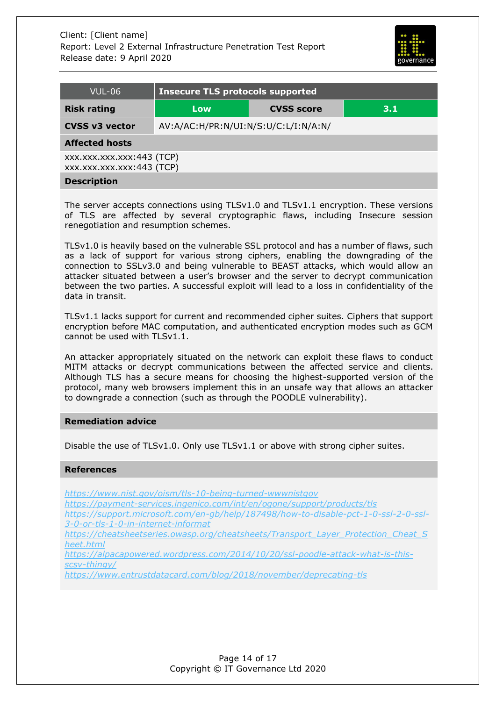

| VUL-06                                                 | <b>Insecure TLS protocols supported</b> |                   |     |  |
|--------------------------------------------------------|-----------------------------------------|-------------------|-----|--|
| <b>Risk rating</b>                                     | Low                                     | <b>CVSS score</b> | 3.1 |  |
| <b>CVSS v3 vector</b>                                  | AV:A/AC:H/PR:N/UI:N/S:U/C:L/I:N/A:N/    |                   |     |  |
| <b>Affected hosts</b>                                  |                                         |                   |     |  |
| XXX.XXX.XXX.XXX:443 (TCP)<br>xxx.xxx.xxx.xxx:443 (TCP) |                                         |                   |     |  |
| <b>Description</b>                                     |                                         |                   |     |  |

The server accepts connections using TLSv1.0 and TLSv1.1 encryption. These versions of TLS are affected by several cryptographic flaws, including Insecure session renegotiation and resumption schemes.

TLSv1.0 is heavily based on the vulnerable SSL protocol and has a number of flaws, such as a lack of support for various strong ciphers, enabling the downgrading of the connection to SSLv3.0 and being vulnerable to BEAST attacks, which would allow an attacker situated between a user's browser and the server to decrypt communication between the two parties. A successful exploit will lead to a loss in confidentiality of the data in transit.

TLSv1.1 lacks support for current and recommended cipher suites. Ciphers that support encryption before MAC computation, and authenticated encryption modes such as GCM cannot be used with TLSv1.1.

An attacker appropriately situated on the network can exploit these flaws to conduct MITM attacks or decrypt communications between the affected service and clients. Although TLS has a secure means for choosing the highest-supported version of the protocol, many web browsers implement this in an unsafe way that allows an attacker to downgrade a connection (such as through the POODLE vulnerability).

#### **Remediation advice**

Disable the use of TLSv1.0. Only use TLSv1.1 or above with strong cipher suites.

#### **References**

*<https://www.nist.gov/oism/tls-10-being-turned-wwwnistgov>*

*<https://payment-services.ingenico.com/int/en/ogone/support/products/tls>*

*[https://support.microsoft.com/en-gb/help/187498/how-to-disable-pct-1-0-ssl-2-0-ssl-](https://support.microsoft.com/en-gb/help/187498/how-to-disable-pct-1-0-ssl-2-0-ssl-3-0-or-tls-1-0-in-internet-informat)[3-0-or-tls-1-0-in-internet-informat](https://support.microsoft.com/en-gb/help/187498/how-to-disable-pct-1-0-ssl-2-0-ssl-3-0-or-tls-1-0-in-internet-informat)*

*[https://cheatsheetseries.owasp.org/cheatsheets/Transport\\_Layer\\_Protection\\_Cheat\\_S](https://cheatsheetseries.owasp.org/cheatsheets/Transport_Layer_Protection_Cheat_Sheet.html) [heet.html](https://cheatsheetseries.owasp.org/cheatsheets/Transport_Layer_Protection_Cheat_Sheet.html)*

*[https://alpacapowered.wordpress.com/2014/10/20/ssl-poodle-attack-what-is-this](https://alpacapowered.wordpress.com/2014/10/20/ssl-poodle-attack-what-is-this-scsv-thingy/)[scsv-thingy/](https://alpacapowered.wordpress.com/2014/10/20/ssl-poodle-attack-what-is-this-scsv-thingy/)*

*<https://www.entrustdatacard.com/blog/2018/november/deprecating-tls>*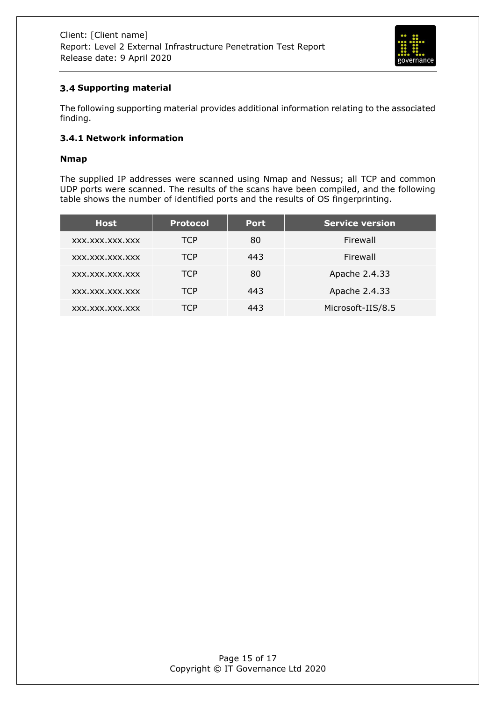

# <span id="page-14-0"></span>**Supporting material**

The following supporting material provides additional information relating to the associated finding.

#### <span id="page-14-1"></span>**3.4.1 Network information**

#### **Nmap**

The supplied IP addresses were scanned using Nmap and Nessus; all TCP and common UDP ports were scanned. The results of the scans have been compiled, and the following table shows the number of identified ports and the results of OS fingerprinting.

| <b>Host</b>     | <b>Protocol</b> | <b>Port</b> | <b>Service version</b> |
|-----------------|-----------------|-------------|------------------------|
| XXX.XXX.XXX.XXX | <b>TCP</b>      | 80          | Firewall               |
| XXX.XXX.XXX.XXX | <b>TCP</b>      | 443         | Firewall               |
| XXX.XXX.XXX.XXX | <b>TCP</b>      | 80          | Apache 2.4.33          |
| XXX.XXX.XXX.XXX | TCP             | 443         | Apache 2.4.33          |
| XXX.XXX.XXX.XXX | TCP             | 443         | Microsoft-IIS/8.5      |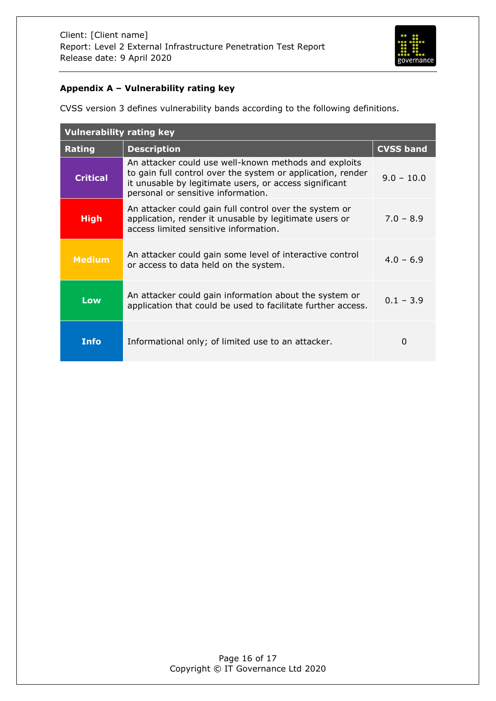

# <span id="page-15-0"></span>**Appendix A – Vulnerability rating key**

CVSS version 3 defines vulnerability bands according to the following definitions.

| <b>Vulnerability rating key</b> |                                                                                                                                                                                                                      |                  |
|---------------------------------|----------------------------------------------------------------------------------------------------------------------------------------------------------------------------------------------------------------------|------------------|
| Rating                          | <b>Description</b>                                                                                                                                                                                                   | <b>CVSS band</b> |
| <b>Critical</b>                 | An attacker could use well-known methods and exploits<br>to gain full control over the system or application, render<br>it unusable by legitimate users, or access significant<br>personal or sensitive information. | $9.0 - 10.0$     |
| <b>High</b>                     | An attacker could gain full control over the system or<br>application, render it unusable by legitimate users or<br>access limited sensitive information.                                                            | $7.0 - 8.9$      |
| <b>Medium</b>                   | An attacker could gain some level of interactive control<br>or access to data held on the system.                                                                                                                    | $4.0 - 6.9$      |
| Low                             | An attacker could gain information about the system or<br>application that could be used to facilitate further access.                                                                                               | $0.1 - 3.9$      |
| Info                            | Informational only; of limited use to an attacker.                                                                                                                                                                   | 0                |